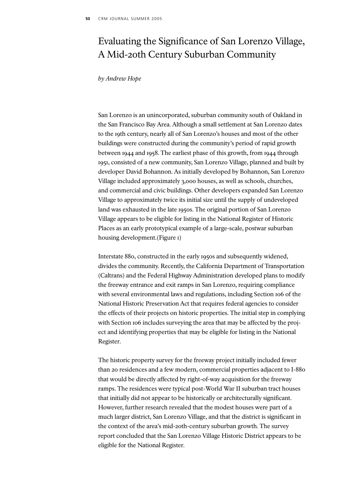# Evaluating the Significance of San Lorenzo Village, A Mid-20th Century Suburban Community

## *by Andrew Hope*

San Lorenzo is an unincorporated, suburban community south of Oakland in the San Francisco Bay Area. Although a small settlement at San Lorenzo dates to the 19th century, nearly all of San Lorenzo's houses and most of the other buildings were constructed during the community's period of rapid growth between 1944 and 1958. The earliest phase of this growth, from 1944 through 1951, consisted of a new community, San Lorenzo Village, planned and built by developer David Bohannon. As initially developed by Bohannon, San Lorenzo Village included approximately 3,000 houses, as well as schools, churches, and commercial and civic buildings. Other developers expanded San Lorenzo Village to approximately twice its initial size until the supply of undeveloped land was exhausted in the late 1950s. The original portion of San Lorenzo Village appears to be eligible for listing in the National Register of Historic Places as an early prototypical example of a large-scale, postwar suburban housing development.(Figure 1)

Interstate 880, constructed in the early 1950s and subsequently widened, divides the community. Recently, the California Department of Transportation (Caltrans) and the Federal Highway Administration developed plans to modify the freeway entrance and exit ramps in San Lorenzo, requiring compliance with several environmental laws and regulations, including Section 106 of the National Historic Preservation Act that requires federal agencies to consider the effects of their projects on historic properties. The initial step in complying with Section 106 includes surveying the area that may be affected by the project and identifying properties that may be eligible for listing in the National Register.

The historic property survey for the freeway project initially included fewer than 20 residences and a few modern, commercial properties adjacent to I-880 that would be directly affected by right-of-way acquisition for the freeway ramps. The residences were typical post-World War II suburban tract houses that initially did not appear to be historically or architecturally significant. However, further research revealed that the modest houses were part of a much larger district, San Lorenzo Village, and that the district is significant in the context of the area's mid-20th-century suburban growth. The survey report concluded that the San Lorenzo Village Historic District appears to be eligible for the National Register.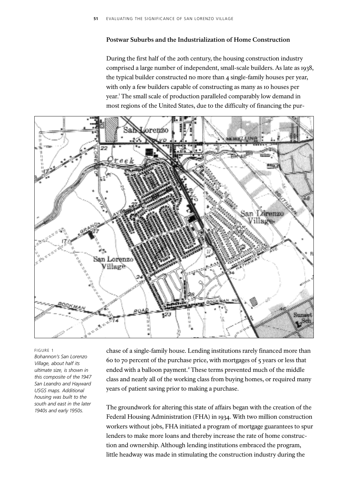# **Postwar Suburbs and the Industrialization of Home Construction**

During the first half of the 20th century, the housing construction industry comprised a large number of independent, small-scale builders. As late as 1938, the typical builder constructed no more than 4 single-family houses per year, with only a few builders capable of constructing as many as 10 houses per year.<sup>1</sup> The small scale of production paralleled comparably low demand in most regions of the United States, due to the difficulty of financing the pur-



#### FIGURE 1

*Bohannon's San Lorenzo Village, about half its ultimate size, is shown in this composite of the 1947 San Leandro and Hayward USGS maps. Additional housing was built to the south and east in the later 1940s and early 1950s.* 

chase of a single-family house. Lending institutions rarely financed more than 60 to 70 percent of the purchase price, with mortgages of 5 years or less that ended with a balloon payment.<sup>2</sup> These terms prevented much of the middle class and nearly all of the working class from buying homes, or required many years of patient saving prior to making a purchase.

The groundwork for altering this state of affairs began with the creation of the Federal Housing Administration (FHA) in 1934. With two million construction workers without jobs, FHA initiated a program of mortgage guarantees to spur lenders to make more loans and thereby increase the rate of home construction and ownership. Although lending institutions embraced the program, little headway was made in stimulating the construction industry during the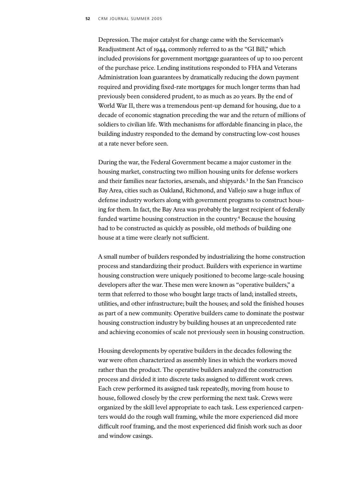Depression. The major catalyst for change came with the Serviceman's Readjustment Act of 1944, commonly referred to as the "GI Bill," which included provisions for government mortgage guarantees of up to 100 percent of the purchase price. Lending institutions responded to FHA and Veterans Administration loan guarantees by dramatically reducing the down payment required and providing fixed-rate mortgages for much longer terms than had previously been considered prudent, to as much as 20 years. By the end of World War II, there was a tremendous pent-up demand for housing, due to a decade of economic stagnation preceding the war and the return of millions of soldiers to civilian life. With mechanisms for affordable financing in place, the building industry responded to the demand by constructing low-cost houses at a rate never before seen.

During the war, the Federal Government became a major customer in the housing market, constructing two million housing units for defense workers and their families near factories, arsenals, and shipyards.3 In the San Francisco Bay Area, cities such as Oakland, Richmond, and Vallejo saw a huge influx of defense industry workers along with government programs to construct housing for them. In fact, the Bay Area was probably the largest recipient of federally funded wartime housing construction in the country.<sup>4</sup> Because the housing had to be constructed as quickly as possible, old methods of building one house at a time were clearly not sufficient.

A small number of builders responded by industrializing the home construction process and standardizing their product. Builders with experience in wartime housing construction were uniquely positioned to become large-scale housing developers after the war. These men were known as "operative builders," a term that referred to those who bought large tracts of land; installed streets, utilities, and other infrastructure; built the houses; and sold the finished houses as part of a new community. Operative builders came to dominate the postwar housing construction industry by building houses at an unprecedented rate and achieving economies of scale not previously seen in housing construction.

Housing developments by operative builders in the decades following the war were often characterized as assembly lines in which the workers moved rather than the product. The operative builders analyzed the construction process and divided it into discrete tasks assigned to different work crews. Each crew performed its assigned task repeatedly, moving from house to house, followed closely by the crew performing the next task. Crews were organized by the skill level appropriate to each task. Less experienced carpenters would do the rough wall framing, while the more experienced did more difficult roof framing, and the most experienced did finish work such as door and window casings.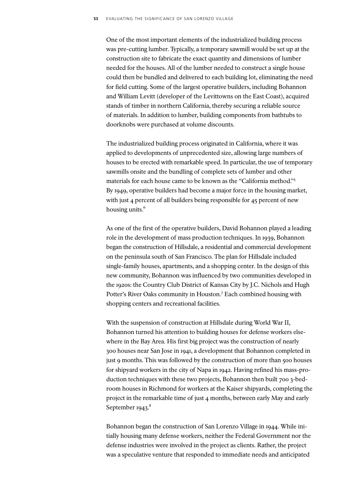One of the most important elements of the industrialized building process was pre-cutting lumber. Typically, a temporary sawmill would be set up at the construction site to fabricate the exact quantity and dimensions of lumber needed for the houses. All of the lumber needed to construct a single house could then be bundled and delivered to each building lot, eliminating the need for field cutting. Some of the largest operative builders, including Bohannon and William Levitt (developer of the Levittowns on the East Coast), acquired stands of timber in northern California, thereby securing a reliable source of materials. In addition to lumber, building components from bathtubs to doorknobs were purchased at volume discounts.

The industrialized building process originated in California, where it was applied to developments of unprecedented size, allowing large numbers of houses to be erected with remarkable speed. In particular, the use of temporary sawmills onsite and the bundling of complete sets of lumber and other materials for each house came to be known as the "California method."5 By 1949, operative builders had become a major force in the housing market, with just 4 percent of all builders being responsible for 45 percent of new housing units.<sup>6</sup>

As one of the first of the operative builders, David Bohannon played a leading role in the development of mass production techniques. In 1939, Bohannon began the construction of Hillsdale, a residential and commercial development on the peninsula south of San Francisco. The plan for Hillsdale included single-family houses, apartments, and a shopping center. In the design of this new community, Bohannon was influenced by two communities developed in the 1920s: the Country Club District of Kansas City by J.C. Nichols and Hugh Potter's River Oaks community in Houston.7 Each combined housing with shopping centers and recreational facilities.

With the suspension of construction at Hillsdale during World War II, Bohannon turned his attention to building houses for defense workers elsewhere in the Bay Area. His first big project was the construction of nearly 300 houses near San Jose in 1941, a development that Bohannon completed in just 9 months. This was followed by the construction of more than 500 houses for shipyard workers in the city of Napa in 1942. Having refined his mass-production techniques with these two projects, Bohannon then built 700 3-bedroom houses in Richmond for workers at the Kaiser shipyards, completing the project in the remarkable time of just 4 months, between early May and early September 1943.<sup>8</sup>

Bohannon began the construction of San Lorenzo Village in 1944. While initially housing many defense workers, neither the Federal Government nor the defense industries were involved in the project as clients. Rather, the project was a speculative venture that responded to immediate needs and anticipated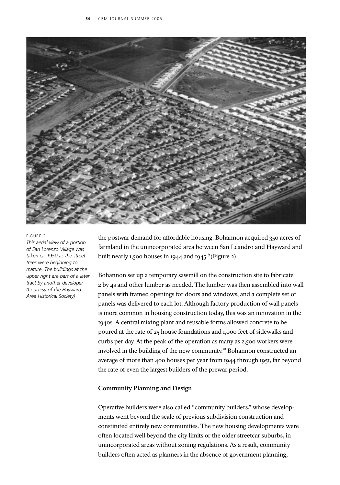

#### FIGURE 2

*This aerial view of a portion of San Lorenzo Village was taken ca. 1950 as the street trees were beginning to mature. The buildings at the upper right are part of a later tract by another developer. (Courtesy of the Hayward Area Historical Society)*

the postwar demand for affordable housing. Bohannon acquired 350 acres of farmland in the unincorporated area between San Leandro and Hayward and built nearly 1,500 houses in 1944 and 1945. $9$  (Figure 2)

Bohannon set up a temporary sawmill on the construction site to fabricate 2 by 4s and other lumber as needed. The lumber was then assembled into wall panels with framed openings for doors and windows, and a complete set of panels was delivered to each lot. Although factory production of wall panels is more common in housing construction today, this was an innovation in the 1940s. A central mixing plant and reusable forms allowed concrete to be poured at the rate of 25 house foundations and 1,000 feet of sidewalks and curbs per day. At the peak of the operation as many as 2,500 workers were involved in the building of the new community.<sup>10</sup> Bohannon constructed an average of more than 400 houses per year from 1944 through 1951, far beyond the rate of even the largest builders of the prewar period.

## **Community Planning and Design**

Operative builders were also called "community builders," whose developments went beyond the scale of previous subdivision construction and constituted entirely new communities. The new housing developments were often located well beyond the city limits or the older streetcar suburbs, in unincorporated areas without zoning regulations. As a result, community builders often acted as planners in the absence of government planning,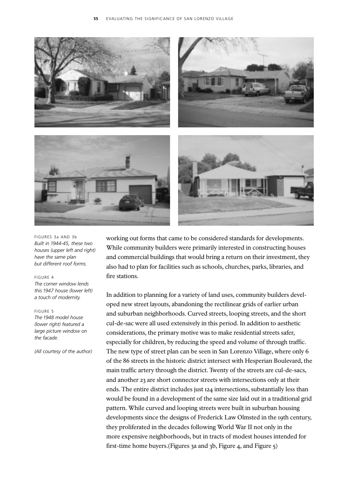

FIGURES 3a AND 3b *Built in 1944-45, these two houses (upper left and right) have the same plan but different roof forms.* 

### FIGURE 4

*The corner window lends this 1947 house (lower left) a touch of modernity.* 

#### FIGURE 5

*The 1948 model house (lower right) featured a large picture window on the facade.* 

*(All courtesy of the author)*

working out forms that came to be considered standards for developments. While community builders were primarily interested in constructing houses and commercial buildings that would bring a return on their investment, they also had to plan for facilities such as schools, churches, parks, libraries, and fire stations.

In addition to planning for a variety of land uses, community builders developed new street layouts, abandoning the rectilinear grids of earlier urban and suburban neighborhoods. Curved streets, looping streets, and the short cul-de-sac were all used extensively in this period. In addition to aesthetic considerations, the primary motive was to make residential streets safer, especially for children, by reducing the speed and volume of through traffic. The new type of street plan can be seen in San Lorenzo Village, where only 6 of the 86 streets in the historic district intersect with Hesperian Boulevard, the main traffic artery through the district. Twenty of the streets are cul-de-sacs, and another 23 are short connector streets with intersections only at their ends. The entire district includes just 124 intersections, substantially less than would be found in a development of the same size laid out in a traditional grid pattern. While curved and looping streets were built in suburban housing developments since the designs of Frederick Law Olmsted in the 19th century, they proliferated in the decades following World War II not only in the more expensive neighborhoods, but in tracts of modest houses intended for first-time home buyers.(Figures 3a and 3b, Figure 4, and Figure 5)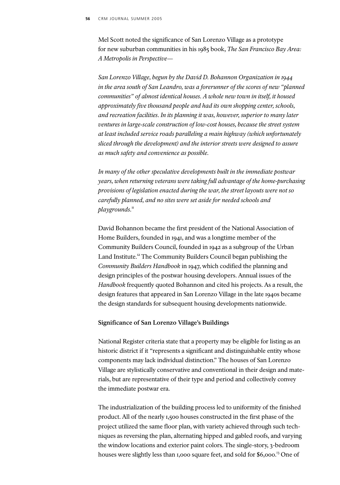Mel Scott noted the significance of San Lorenzo Village as a prototype for new suburban communities in his 1985 book, *The San Francisco Bay Area: A Metropolis in Perspective—*

San Lorenzo Village, begun by the David D. Bohannon Organization in 1944 *in the area south of San Leandro, was a forerunner of the scores of new "planned* communities" of almost identical houses. A whole new town in itself, it housed approximately five thousand people and had its own shopping center, schools, and recreation facilities. In its planning it was, however, superior to many later *ventures in large-scale construction of low-cost houses,because the street system at least included service roads paralleling a main highway (which unfortunately sliced through the development) and the interior streets were designed to assure as much safety and convenience as possible.*

*In many of the other speculative developments built in the immediate postwar years,when returning veterans were taking full advantage of the home-purchasing provisions of legislation enacted during the war,the street layouts were not so* carefully planned, and no sites were set aside for needed schools and  $play grounds.<sup>11</sup>$ 

David Bohannon became the first president of the National Association of Home Builders, founded in 1941, and was a longtime member of the Community Builders Council, founded in 1942 as a subgroup of the Urban Land Institute.<sup>12</sup> The Community Builders Council began publishing the *Community Builders Handbook* in 1947, which codified the planning and design principles of the postwar housing developers. Annual issues of the *Handbook* frequently quoted Bohannon and cited his projects. As a result, the design features that appeared in San Lorenzo Village in the late 1940s became the design standards for subsequent housing developments nationwide.

## **Significance of San Lorenzo Village's Buildings**

National Register criteria state that a property may be eligible for listing as an historic district if it "represents a significant and distinguishable entity whose components may lack individual distinction." The houses of San Lorenzo Village are stylistically conservative and conventional in their design and materials, but are representative of their type and period and collectively convey the immediate postwar era.

The industrialization of the building process led to uniformity of the finished product. All of the nearly 1,500 houses constructed in the first phase of the project utilized the same floor plan, with variety achieved through such techniques as reversing the plan, alternating hipped and gabled roofs, and varying the window locations and exterior paint colors. The single-story, 3-bedroom houses were slightly less than 1,000 square feet, and sold for \$6,000.<sup>13</sup> One of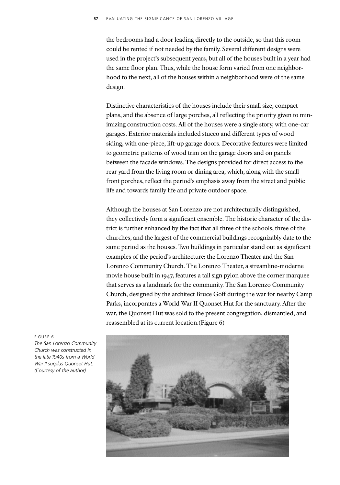the bedrooms had a door leading directly to the outside, so that this room could be rented if not needed by the family. Several different designs were used in the project's subsequent years, but all of the houses built in a year had the same floor plan. Thus, while the house form varied from one neighborhood to the next, all of the houses within a neighborhood were of the same design.

Distinctive characteristics of the houses include their small size, compact plans, and the absence of large porches, all reflecting the priority given to minimizing construction costs. All of the houses were a single story, with one-car garages. Exterior materials included stucco and different types of wood siding, with one-piece, lift-up garage doors. Decorative features were limited to geometric patterns of wood trim on the garage doors and on panels between the facade windows. The designs provided for direct access to the rear yard from the living room or dining area, which, along with the small front porches, reflect the period's emphasis away from the street and public life and towards family life and private outdoor space.

Although the houses at San Lorenzo are not architecturally distinguished, they collectively form a significant ensemble. The historic character of the district is further enhanced by the fact that all three of the schools, three of the churches, and the largest of the commercial buildings recognizably date to the same period as the houses. Two buildings in particular stand out as significant examples of the period's architecture: the Lorenzo Theater and the San Lorenzo Community Church. The Lorenzo Theater, a streamline-moderne movie house built in 1947, features a tall sign pylon above the corner marquee that serves as a landmark for the community. The San Lorenzo Community Church, designed by the architect Bruce Goff during the war for nearby Camp Parks, incorporates a World War II Quonset Hut for the sanctuary. After the war, the Quonset Hut was sold to the present congregation, dismantled, and reassembled at its current location.(Figure 6)



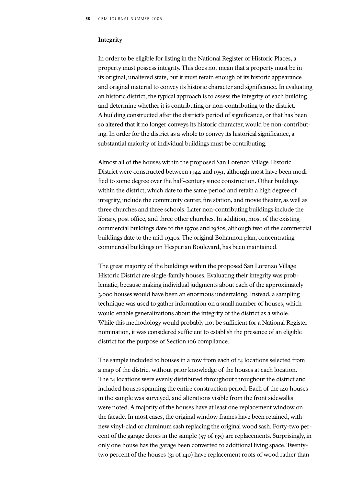## **Integrity**

In order to be eligible for listing in the National Register of Historic Places, a property must possess integrity. This does not mean that a property must be in its original, unaltered state, but it must retain enough of its historic appearance and original material to convey its historic character and significance. In evaluating an historic district, the typical approach is to assess the integrity of each building and determine whether it is contributing or non-contributing to the district. A building constructed after the district's period of significance, or that has been so altered that it no longer conveys its historic character, would be non-contributing. In order for the district as a whole to convey its historical significance, a substantial majority of individual buildings must be contributing.

Almost all of the houses within the proposed San Lorenzo Village Historic District were constructed between 1944 and 1951, although most have been modified to some degree over the half-century since construction. Other buildings within the district, which date to the same period and retain a high degree of integrity, include the community center, fire station, and movie theater, as well as three churches and three schools. Later non-contributing buildings include the library, post office, and three other churches. In addition, most of the existing commercial buildings date to the 1970s and 1980s, although two of the commercial buildings date to the mid-1940s. The original Bohannon plan, concentrating commercial buildings on Hesperian Boulevard, has been maintained.

The great majority of the buildings within the proposed San Lorenzo Village Historic District are single-family houses. Evaluating their integrity was problematic, because making individual judgments about each of the approximately 3,000 houses would have been an enormous undertaking. Instead, a sampling technique was used to gather information on a small number of houses, which would enable generalizations about the integrity of the district as a whole. While this methodology would probably not be sufficient for a National Register nomination, it was considered sufficient to establish the presence of an eligible district for the purpose of Section 106 compliance.

The sample included 10 houses in a row from each of 14 locations selected from a map of the district without prior knowledge of the houses at each location. The 14 locations were evenly distributed throughout throughout the district and included houses spanning the entire construction period. Each of the 140 houses in the sample was surveyed, and alterations visible from the front sidewalks were noted. A majority of the houses have at least one replacement window on the facade. In most cases, the original window frames have been retained, with new vinyl-clad or aluminum sash replacing the original wood sash. Forty-two percent of the garage doors in the sample (57 of 135) are replacements. Surprisingly, in only one house has the garage been converted to additional living space. Twentytwo percent of the houses (31 of 140) have replacement roofs of wood rather than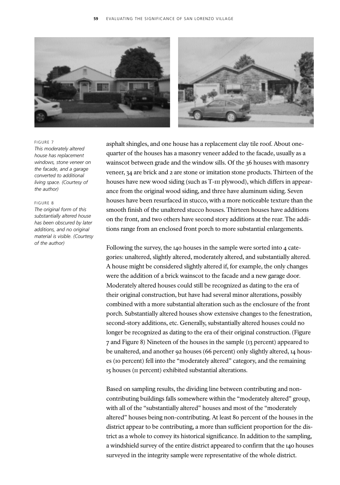

#### FIGURE 7

*This moderately altered house has replacement windows, stone veneer on the facade, and a garage converted to additional living space. (Courtesy of the author)*

## FIGURE 8

*The original form of this substantially altered house has been obscured by later additions, and no original material is visible. (Courtesy of the author)* 

asphalt shingles, and one house has a replacement clay tile roof. About onequarter of the houses has a masonry veneer added to the facade, usually as a wainscot between grade and the window sills. Of the 36 houses with masonry veneer, 34 are brick and 2 are stone or imitation stone products. Thirteen of the houses have new wood siding (such as T-III plywood), which differs in appearance from the original wood siding, and three have aluminum siding. Seven houses have been resurfaced in stucco, with a more noticeable texture than the smooth finish of the unaltered stucco houses. Thirteen houses have additions on the front, and two others have second story additions at the rear. The additions range from an enclosed front porch to more substantial enlargements.

Following the survey, the 140 houses in the sample were sorted into 4 categories: unaltered, slightly altered, moderately altered, and substantially altered. A house might be considered slightly altered if, for example, the only changes were the addition of a brick wainscot to the facade and a new garage door. Moderately altered houses could still be recognized as dating to the era of their original construction, but have had several minor alterations, possibly combined with a more substantial alteration such as the enclosure of the front porch. Substantially altered houses show extensive changes to the fenestration, second-story additions, etc. Generally, substantially altered houses could no longer be recognized as dating to the era of their original construction. (Figure 7 and Figure 8) Nineteen of the houses in the sample (13 percent) appeared to be unaltered, and another 92 houses (66 percent) only slightly altered, 14 houses (10 percent) fell into the "moderately altered" category, and the remaining 15 houses (11 percent) exhibited substantial alterations.

Based on sampling results, the dividing line between contributing and noncontributing buildings falls somewhere within the "moderately altered" group, with all of the "substantially altered" houses and most of the "moderately altered" houses being non-contributing. At least 80 percent of the houses in the district appear to be contributing, a more than sufficient proportion for the district as a whole to convey its historical significance. In addition to the sampling, a windshield survey of the entire district appeared to confirm that the 140 houses surveyed in the integrity sample were representative of the whole district.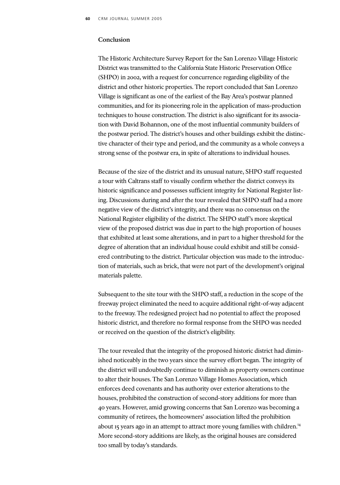# **Conclusion**

The Historic Architecture Survey Report for the San Lorenzo Village Historic District was transmitted to the California State Historic Preservation Office (SHPO) in 2002, with a request for concurrence regarding eligibility of the district and other historic properties. The report concluded that San Lorenzo Village is significant as one of the earliest of the Bay Area's postwar planned communities, and for its pioneering role in the application of mass-production techniques to house construction. The district is also significant for its association with David Bohannon, one of the most influential community builders of the postwar period. The district's houses and other buildings exhibit the distinctive character of their type and period, and the community as a whole conveys a strong sense of the postwar era, in spite of alterations to individual houses.

Because of the size of the district and its unusual nature, SHPO staff requested a tour with Caltrans staff to visually confirm whether the district conveys its historic significance and possesses sufficient integrity for National Register listing. Discussions during and after the tour revealed that SHPO staff had a more negative view of the district's integrity, and there was no consensus on the National Register eligibility of the district. The SHPO staff's more skeptical view of the proposed district was due in part to the high proportion of houses that exhibited at least some alterations, and in part to a higher threshold for the degree of alteration that an individual house could exhibit and still be considered contributing to the district. Particular objection was made to the introduction of materials, such as brick, that were not part of the development's original materials palette.

Subsequent to the site tour with the SHPO staff, a reduction in the scope of the freeway project eliminated the need to acquire additional right-of-way adjacent to the freeway. The redesigned project had no potential to affect the proposed historic district, and therefore no formal response from the SHPO was needed or received on the question of the district's eligibility.

The tour revealed that the integrity of the proposed historic district had diminished noticeably in the two years since the survey effort began. The integrity of the district will undoubtedly continue to diminish as property owners continue to alter their houses. The San Lorenzo Village Homes Association, which enforces deed covenants and has authority over exterior alterations to the houses, prohibited the construction of second-story additions for more than 40 years. However, amid growing concerns that San Lorenzo was becoming a community of retirees, the homeowners' association lifted the prohibition about 15 years ago in an attempt to attract more young families with children.<sup>14</sup> More second-story additions are likely, as the original houses are considered too small by today's standards.